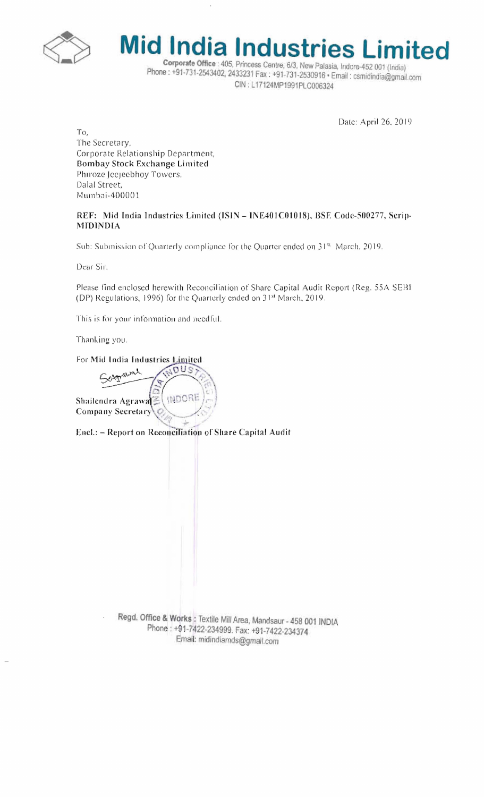



Phone: +91-731-2543402, 2433231 Fax: +91-731-2530916 · Email: csmidindia@gmail.com CIN: L17124MP1991PLC006324

Date: April 26, 2019

To, The Secretary, Corporate Relationship Department, Bombay Stock Exchange Limited Phiroze Jecjeebhoy Towers, Dalal Street, Mumbai-400001

## REF: Mid India Industries Limited (ISIN - INE401C01018), BSE Code-500277, Scrip-**MIDINDIA**

Sub: Subinission of Quarterly compliance for the Quarter ended on 31<sup>st</sup> March. 2019.

Dear Sir,

Please find enclosed herewith Reconciliation of Share Capital Audit Report (Reg. 55A SEBI (DP) Regulations, 1996) for the Quarterly ended on 31<sup>st</sup> March, 2019.

This is for your information and needful.

Thanking you.

For Mid India Industries Limited

MOUS Agrawal INDORE Shailendra Agrawa Company Secretary

Encl.: - Report on Reconciliation of Share Capital Audit

Regd. Office & Works : Textile Mill Area, Mandsaur - 458 001 INDIA Phone: +91-7422-234999. Fax: +91-7422-234374 Email: midindiamds@gmail.com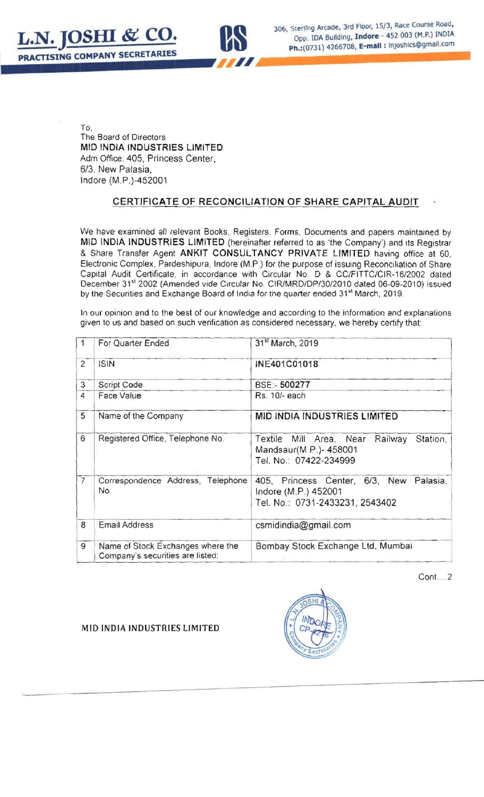



To. The Board of Directors MID INDIA INDUSTRIES LIMITED Adm Office: 405, Princess Center, *6/3.* New Palasia, Indore (M .P.)-452001

## CERTIFICATE OF RECONCILIATION OF SHARE CAPITAL AUDIT

We have examined all relevant Books, Registers, Forms, Documents and papers maintained by MID INDIA INDUSTRIES LIMITED (hereinafter referred to as ·the Company') and Its Registrar & Share Transfer Agent ANKIT CONSULTANCY PRIVATE LIMITED having office at 60, Electronic Complex, Pardeshipura, Indore (M.P.) for the purpose of issuing Reconciliation of Share Capital Audit Certificate, in accordance with Circular No. 0 & CC/F1TTC/C1R-16/2002 dated December 31<sup>st</sup> 2002 (Amended vide Circular No. CIR/MRD/DP/30/2010 dated 06-09-2010) issued by the Securities and Exchange Board of India for the quarter ended 31st March, 2019.

In our opinion and to the best of our knowledge and according to the information and explanations given to us and based on such verification as considered necessary, we hereby certify that:

|                | For Quarter Ended                                                     | 31 <sup>st</sup> March, 2019                                                                          |  |
|----------------|-----------------------------------------------------------------------|-------------------------------------------------------------------------------------------------------|--|
| $\overline{2}$ | <b>ISIN</b>                                                           | INE401C01018                                                                                          |  |
| 3              | Script Code                                                           | BSE:- 500277                                                                                          |  |
| 4              | Face Value                                                            | Rs. 10/- each                                                                                         |  |
| 5              | Name of the Company                                                   | <b>MID INDIA INDUSTRIES LIMITED</b>                                                                   |  |
| 6              | Registered Office, Telephone No.                                      | Textile Mill Area, Near<br>Railway<br>Station.<br>Mandsaur(M.P.)- 458001<br>Tel. No.: 07422-234999    |  |
| $\overline{7}$ | Correspondence Address, Telephone<br>No.                              | 405, Princess Center, 6/3, New<br>Palasia,<br>Indore (M.P.) 452001<br>Tel. No.: 0731-2433231, 2543402 |  |
| 8              | <b>Email Address</b>                                                  | csmidindia@gmail.com                                                                                  |  |
| 9              | Name of Stock Exchanges where the<br>Company's securities are listed: | Bombay Stock Exchange Ltd, Mumbai                                                                     |  |

 $Cont. . . . 2$ 



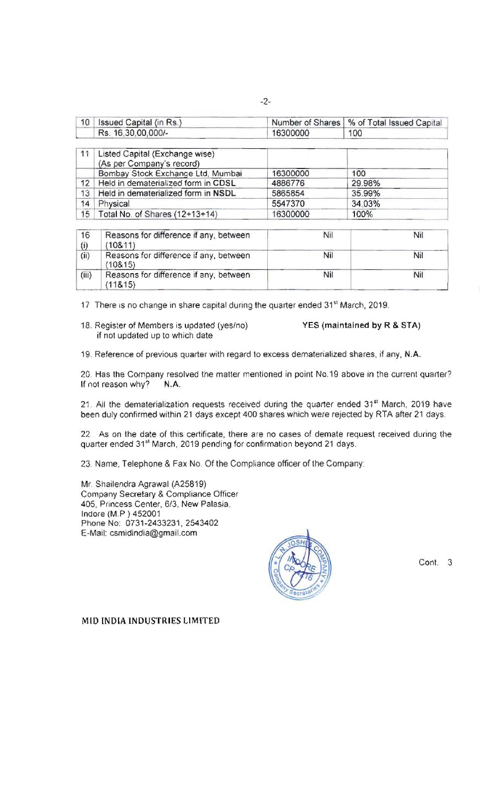| 10        | Issued Capital (in Rs.)                                     | Number of Shares | % of Total Issued Capital |
|-----------|-------------------------------------------------------------|------------------|---------------------------|
|           | Rs. 16,30,00,000/-                                          | 16300000         | 100                       |
| 11        | Listed Capital (Exchange wise)<br>(As per Company's record) |                  |                           |
|           | Bombay Stock Exchange Ltd, Mumbai                           | 16300000         | 100                       |
| 12        | Held in dematerialized form in CDSL                         | 4886776          | 29.98%                    |
| 13        | Held in dematerialized form in NSDL                         | 5865854          | 35.99%                    |
| 14        | Physical                                                    | 5547370          | 34.03%                    |
| 15        | Total No. of Shares (12+13+14)                              | 16300000         | 100%                      |
| 16<br>(i) | Reasons for difference if any, between<br>(108.11)          | Nil              | Nil                       |
| (ii)      | Reasons for difference if any, between<br>(108.15)          | Nil              | Nil                       |
| (iii)     | Reasons for difference if any, between<br>(11815)           | Nil              | Nil                       |

17 There is no change in share capital during the quarter ended 31<sup>st</sup> March, 2019.

18. Register of Members is updated (yes/no) YES (maintained by R & STA) if not updated up to which date

19. Reference of previous quarter with regard to excess dematerialized shares. if any, N.A.

20. Has the Company resolved the matter mentioned in point No.19 above in the current quarter? If not reason why? N.A.

21. All the dematerialization requests received during the quarter ended 31<sup>st</sup> March, 2019 have been duly confirmed within 21 days except 400 shares which were rejected by RTA after 21 days.

22 As on the date of this certificate. there are no cases of demate request received during the quarter ended 31<sup>st</sup> March, 2019 pending for confirmation beyond 21 days.

23. Name. Telephone & Fax No. Of the Compliance officer of the Company:

Mr. Shailendra Agrawal (A25819) Company Secretary & Compliance Officer 405, Princess Center, 6/3, New Palasia, Indore (M.P) 452001 Phone No: 0731-2433231,2543402 E-Mail: csmidindia@gmail.com



Cant. 3

MID INDIA INDUSTRIES LIMITED